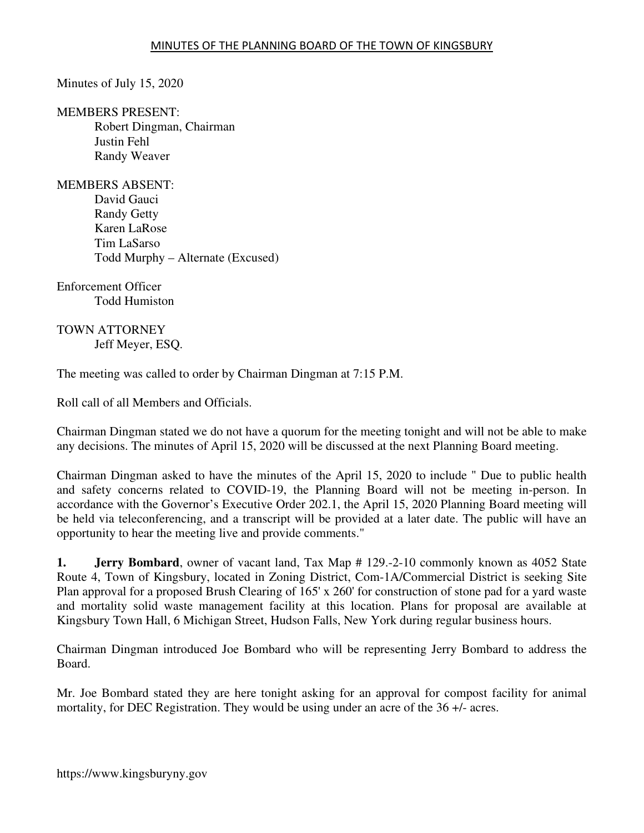Minutes of July 15, 2020

MEMBERS PRESENT: Robert Dingman, Chairman Justin Fehl Randy Weaver

MEMBERS ABSENT:

David Gauci Randy Getty Karen LaRose Tim LaSarso Todd Murphy – Alternate (Excused)

Enforcement Officer Todd Humiston

TOWN ATTORNEY Jeff Meyer, ESQ.

The meeting was called to order by Chairman Dingman at 7:15 P.M.

Roll call of all Members and Officials.

Chairman Dingman stated we do not have a quorum for the meeting tonight and will not be able to make any decisions. The minutes of April 15, 2020 will be discussed at the next Planning Board meeting.

Chairman Dingman asked to have the minutes of the April 15, 2020 to include " Due to public health and safety concerns related to COVID-19, the Planning Board will not be meeting in-person. In accordance with the Governor's Executive Order 202.1, the April 15, 2020 Planning Board meeting will be held via teleconferencing, and a transcript will be provided at a later date. The public will have an opportunity to hear the meeting live and provide comments."

**1. Jerry Bombard**, owner of vacant land, Tax Map # 129.-2-10 commonly known as 4052 State Route 4, Town of Kingsbury, located in Zoning District, Com-1A/Commercial District is seeking Site Plan approval for a proposed Brush Clearing of 165' x 260' for construction of stone pad for a yard waste and mortality solid waste management facility at this location. Plans for proposal are available at Kingsbury Town Hall, 6 Michigan Street, Hudson Falls, New York during regular business hours.

Chairman Dingman introduced Joe Bombard who will be representing Jerry Bombard to address the Board.

Mr. Joe Bombard stated they are here tonight asking for an approval for compost facility for animal mortality, for DEC Registration. They would be using under an acre of the 36 +/- acres.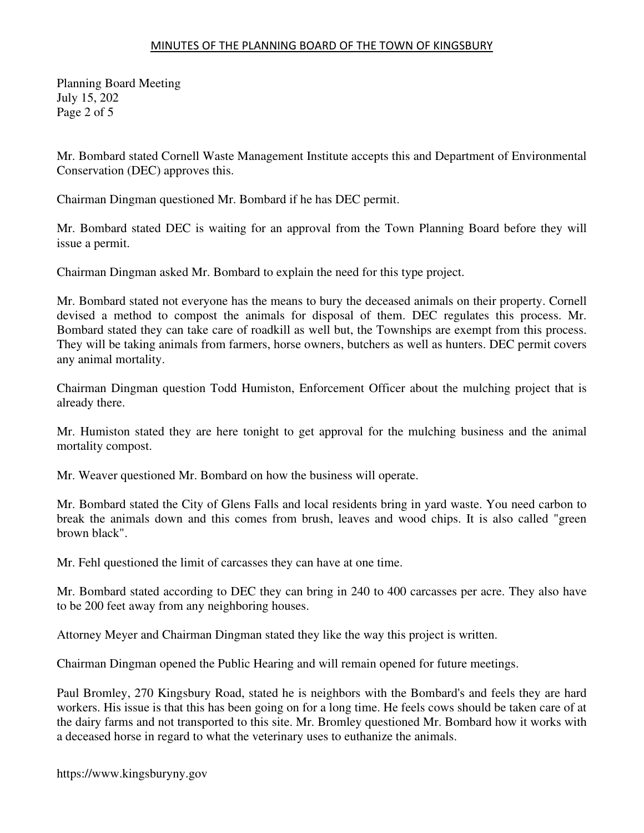Planning Board Meeting July 15, 202 Page 2 of 5

Mr. Bombard stated Cornell Waste Management Institute accepts this and Department of Environmental Conservation (DEC) approves this.

Chairman Dingman questioned Mr. Bombard if he has DEC permit.

Mr. Bombard stated DEC is waiting for an approval from the Town Planning Board before they will issue a permit.

Chairman Dingman asked Mr. Bombard to explain the need for this type project.

Mr. Bombard stated not everyone has the means to bury the deceased animals on their property. Cornell devised a method to compost the animals for disposal of them. DEC regulates this process. Mr. Bombard stated they can take care of roadkill as well but, the Townships are exempt from this process. They will be taking animals from farmers, horse owners, butchers as well as hunters. DEC permit covers any animal mortality.

Chairman Dingman question Todd Humiston, Enforcement Officer about the mulching project that is already there.

Mr. Humiston stated they are here tonight to get approval for the mulching business and the animal mortality compost.

Mr. Weaver questioned Mr. Bombard on how the business will operate.

Mr. Bombard stated the City of Glens Falls and local residents bring in yard waste. You need carbon to break the animals down and this comes from brush, leaves and wood chips. It is also called "green brown black".

Mr. Fehl questioned the limit of carcasses they can have at one time.

Mr. Bombard stated according to DEC they can bring in 240 to 400 carcasses per acre. They also have to be 200 feet away from any neighboring houses.

Attorney Meyer and Chairman Dingman stated they like the way this project is written.

Chairman Dingman opened the Public Hearing and will remain opened for future meetings.

Paul Bromley, 270 Kingsbury Road, stated he is neighbors with the Bombard's and feels they are hard workers. His issue is that this has been going on for a long time. He feels cows should be taken care of at the dairy farms and not transported to this site. Mr. Bromley questioned Mr. Bombard how it works with a deceased horse in regard to what the veterinary uses to euthanize the animals.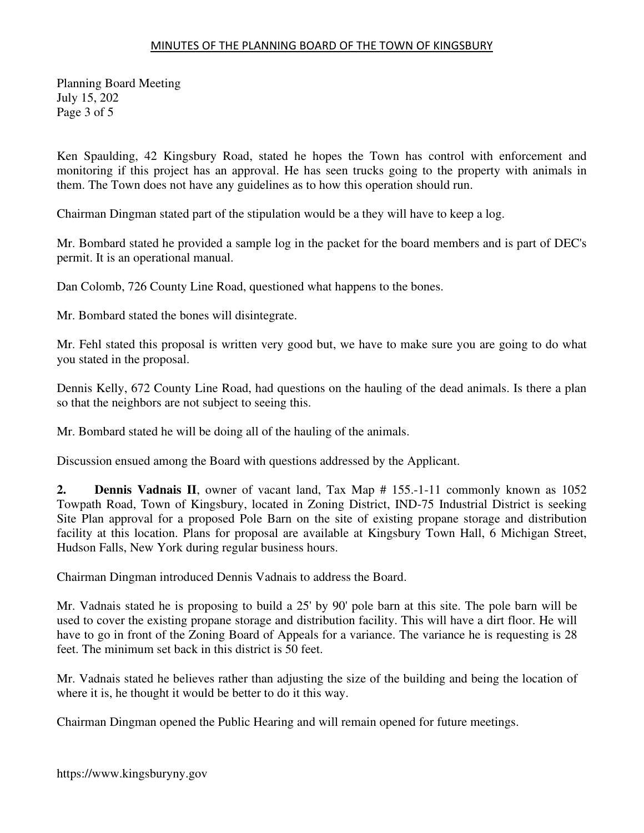Planning Board Meeting July 15, 202 Page 3 of 5

Ken Spaulding, 42 Kingsbury Road, stated he hopes the Town has control with enforcement and monitoring if this project has an approval. He has seen trucks going to the property with animals in them. The Town does not have any guidelines as to how this operation should run.

Chairman Dingman stated part of the stipulation would be a they will have to keep a log.

Mr. Bombard stated he provided a sample log in the packet for the board members and is part of DEC's permit. It is an operational manual.

Dan Colomb, 726 County Line Road, questioned what happens to the bones.

Mr. Bombard stated the bones will disintegrate.

Mr. Fehl stated this proposal is written very good but, we have to make sure you are going to do what you stated in the proposal.

Dennis Kelly, 672 County Line Road, had questions on the hauling of the dead animals. Is there a plan so that the neighbors are not subject to seeing this.

Mr. Bombard stated he will be doing all of the hauling of the animals.

Discussion ensued among the Board with questions addressed by the Applicant.

**2. Dennis Vadnais II**, owner of vacant land, Tax Map # 155.-1-11 commonly known as 1052 Towpath Road, Town of Kingsbury, located in Zoning District, IND-75 Industrial District is seeking Site Plan approval for a proposed Pole Barn on the site of existing propane storage and distribution facility at this location. Plans for proposal are available at Kingsbury Town Hall, 6 Michigan Street, Hudson Falls, New York during regular business hours.

Chairman Dingman introduced Dennis Vadnais to address the Board.

Mr. Vadnais stated he is proposing to build a 25' by 90' pole barn at this site. The pole barn will be used to cover the existing propane storage and distribution facility. This will have a dirt floor. He will have to go in front of the Zoning Board of Appeals for a variance. The variance he is requesting is 28 feet. The minimum set back in this district is 50 feet.

Mr. Vadnais stated he believes rather than adjusting the size of the building and being the location of where it is, he thought it would be better to do it this way.

Chairman Dingman opened the Public Hearing and will remain opened for future meetings.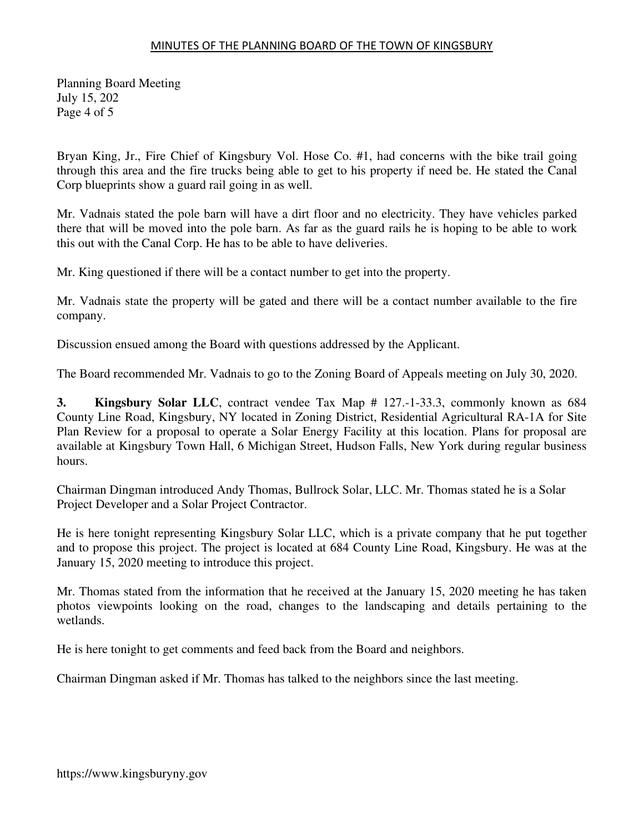Planning Board Meeting July 15, 202 Page 4 of 5

Bryan King, Jr., Fire Chief of Kingsbury Vol. Hose Co. #1, had concerns with the bike trail going through this area and the fire trucks being able to get to his property if need be. He stated the Canal Corp blueprints show a guard rail going in as well.

Mr. Vadnais stated the pole barn will have a dirt floor and no electricity. They have vehicles parked there that will be moved into the pole barn. As far as the guard rails he is hoping to be able to work this out with the Canal Corp. He has to be able to have deliveries.

Mr. King questioned if there will be a contact number to get into the property.

Mr. Vadnais state the property will be gated and there will be a contact number available to the fire company.

Discussion ensued among the Board with questions addressed by the Applicant.

The Board recommended Mr. Vadnais to go to the Zoning Board of Appeals meeting on July 30, 2020.

**3. Kingsbury Solar LLC**, contract vendee Tax Map # 127.-1-33.3, commonly known as 684 County Line Road, Kingsbury, NY located in Zoning District, Residential Agricultural RA-1A for Site Plan Review for a proposal to operate a Solar Energy Facility at this location. Plans for proposal are available at Kingsbury Town Hall, 6 Michigan Street, Hudson Falls, New York during regular business hours.

Chairman Dingman introduced Andy Thomas, Bullrock Solar, LLC. Mr. Thomas stated he is a Solar Project Developer and a Solar Project Contractor.

He is here tonight representing Kingsbury Solar LLC, which is a private company that he put together and to propose this project. The project is located at 684 County Line Road, Kingsbury. He was at the January 15, 2020 meeting to introduce this project.

Mr. Thomas stated from the information that he received at the January 15, 2020 meeting he has taken photos viewpoints looking on the road, changes to the landscaping and details pertaining to the wetlands.

He is here tonight to get comments and feed back from the Board and neighbors.

Chairman Dingman asked if Mr. Thomas has talked to the neighbors since the last meeting.